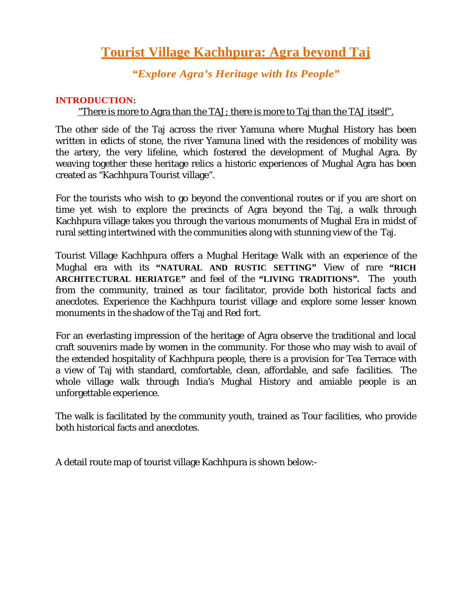# **Tourist Village Kachhpura: Agra beyond Taj**

*"Explore Agra's Heritage with Its People"*

#### **INTRODUCTION:**

### "There is more to Agra than the TAJ; there is more to Taj than the TAJ itself".

The other side of the Taj across the river Yamuna where Mughal History has been written in edicts of stone, the river Yamuna lined with the residences of mobility was the artery, the very lifeline, which fostered the development of Mughal Agra. By weaving together these heritage relics a historic experiences of Mughal Agra has been created as "Kachhpura Tourist village".

For the tourists who wish to go beyond the conventional routes or if you are short on time yet wish to explore the precincts of Agra beyond the Taj, a walk through Kachhpura village takes you through the various monuments of Mughal Era in midst of rural setting intertwined with the communities along with stunning view of the Taj.

Tourist Village Kachhpura offers a Mughal Heritage Walk with an experience of the Mughal era with its **"NATURAL AND RUSTIC SETTING"** View of rare **"RICH ARCHITECTURAL HERIATGE"** and feel of the **"LIVING TRADITIONS".** The youth from the community, trained as tour facilitator, provide both historical facts and anecdotes. Experience the Kachhpura tourist village and explore some lesser known monuments in the shadow of the Taj and Red fort.

For an everlasting impression of the heritage of Agra observe the traditional and local craft souvenirs made by women in the community. For those who may wish to avail of the extended hospitality of Kachhpura people, there is a provision for Tea Terrace with a view of Taj with standard, comfortable, clean, affordable, and safe facilities. The whole village walk through India's Mughal History and amiable people is an unforgettable experience.

The walk is facilitated by the community youth, trained as Tour facilities, who provide both historical facts and anecdotes.

A detail route map of tourist village Kachhpura is shown below:-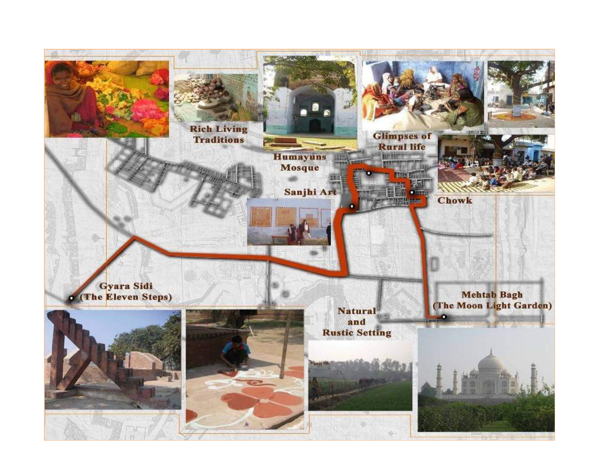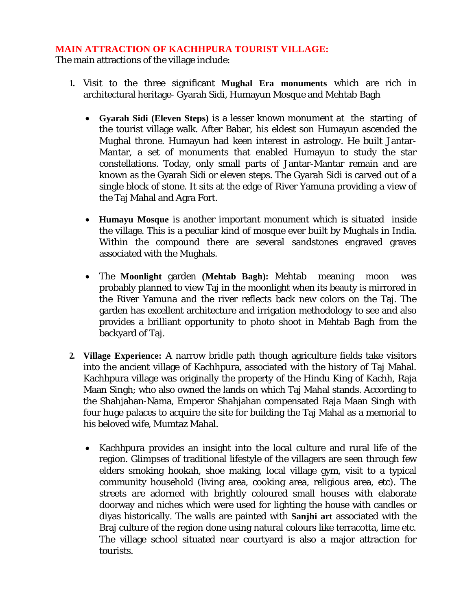#### **MAIN ATTRACTION OF KACHHPURA TOURIST VILLAGE:**

The main attractions of the village include:

- **1.** Visit to the three significant **Mughal Era monuments** which are rich in architectural heritage- Gyarah Sidi, Humayun Mosque and Mehtab Bagh
	- **Gyarah Sidi (Eleven Steps)** is a lesser known monument at the starting of the tourist village walk. After Babar, his eldest son Humayun ascended the Mughal throne. Humayun had keen interest in astrology. He built Jantar-Mantar, a set of monuments that enabled Humayun to study the star constellations. Today, only small parts of Jantar-Mantar remain and are known as the Gyarah Sidi or eleven steps. The Gyarah Sidi is carved out of a single block of stone. It sits at the edge of River Yamuna providing a view of the Taj Mahal and Agra Fort.
	- **Humayu Mosque** is another important monument which is situated inside the village. This is a peculiar kind of mosque ever built by Mughals in India. Within the compound there are several sandstones engraved graves associated with the Mughals.
	- The **Moonlight** garden **(Mehtab Bagh):** Mehtab meaning moon was probably planned to view Taj in the moonlight when its beauty is mirrored in the River Yamuna and the river reflects back new colors on the Taj. The garden has excellent architecture and irrigation methodology to see and also provides a brilliant opportunity to photo shoot in Mehtab Bagh from the backyard of Taj.
- **2. Village Experience:** A narrow bridle path though agriculture fields take visitors into the ancient village of Kachhpura, associated with the history of Taj Mahal. Kachhpura village was originally the property of the Hindu King of Kachh, Raja Maan Singh; who also owned the lands on which Taj Mahal stands. According to the Shahjahan-Nama, Emperor Shahjahan compensated Raja Maan Singh with four huge palaces to acquire the site for building the Taj Mahal as a memorial to his beloved wife, Mumtaz Mahal.
	- Kachhpura provides an insight into the local culture and rural life of the region. Glimpses of traditional lifestyle of the villagers are seen through few elders smoking hookah, shoe making, local village gym, visit to a typical community household (living area, cooking area, religious area, etc). The streets are adorned with brightly coloured small houses with elaborate doorway and niches which were used for lighting the house with candles or diyas historically. The walls are painted with **Sanjhi art** associated with the Braj culture of the region done using natural colours like terracotta, lime etc. The village school situated near courtyard is also a major attraction for tourists.